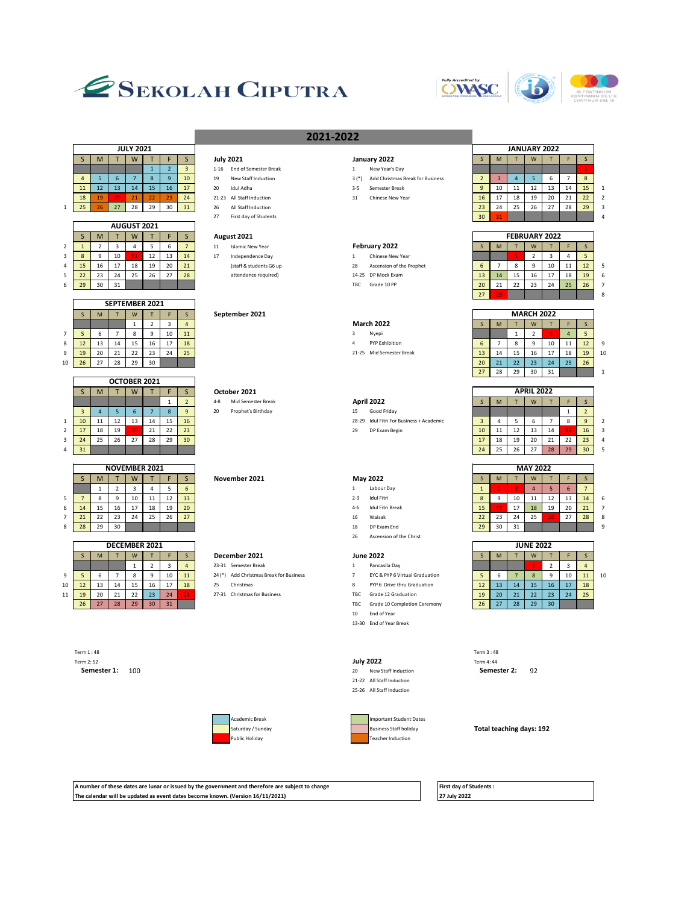





|   |    |    |    | <b>JULY 2021</b> |    |    |    |          |                           |         |                                  |    |    | <b>JANUARY 2022</b> |    |    |    |              |  |
|---|----|----|----|------------------|----|----|----|----------|---------------------------|---------|----------------------------------|----|----|---------------------|----|----|----|--------------|--|
|   |    | м  |    | W                |    |    |    |          | <b>July 2021</b>          |         | January 2022                     |    | M  |                     | W  |    |    |              |  |
|   |    |    |    |                  |    |    |    | $1 - 16$ | End of Semester Break     |         | New Year's Day                   |    |    |                     |    |    |    |              |  |
|   |    |    |    |                  |    |    | 10 | 19       | New Staff Induction       | $3(*)$  | Add Christmas Break for Business |    |    |                     |    |    |    | $\mathbf{8}$ |  |
|   | 11 | 12 | 13 | 14               | 15 | 16 | 17 | 20       | Idul Adha                 | $3 - 5$ | Semester Break                   | 9  | 10 | 11                  | 12 | 13 | 14 | 15           |  |
|   | 18 | 19 | 20 | $\overline{21}$  | 22 | 23 | 24 |          | 21-23 All Staff Induction | 31      | <b>Chinese New Year</b>          | 16 | 17 | 18                  | 19 | 20 |    | 22           |  |
| 1 | 25 | 26 | 27 | 28               | 29 | 30 | 31 | 26       | All Staff Induction       |         |                                  | 23 | 24 | 25                  | 26 | 27 | 28 | 29           |  |

|    |    |    |    |                    |    |    | $\epsilon$ | Filst day of students   |                         |     | ∍∪ ∣                     | - 31 |    |     |          |                      |    |                |
|----|----|----|----|--------------------|----|----|------------|-------------------------|-------------------------|-----|--------------------------|------|----|-----|----------|----------------------|----|----------------|
|    |    |    |    | <b>AUGUST 2021</b> |    |    |            |                         |                         |     |                          |      |    |     |          |                      |    |                |
|    |    | M  |    | W                  |    |    |            | August 2021             |                         |     |                          |      |    |     |          | <b>FEBRUARY 2022</b> |    |                |
|    |    |    |    |                    |    |    |            | <b>Islamic New Year</b> |                         |     | February 2022            |      | M  |     | W        |                      |    |                |
|    | 8  |    | 10 | 11                 | 12 | 13 | 14         | Independence Day<br>17  |                         |     | Chinese New Year         |      |    |     |          |                      |    |                |
|    | 15 | 16 | 17 | 18                 | 19 | 20 | 21         |                         | (staff & students G6 up | 28  | Ascension of the Prophet | 6    |    | z.  | $\alpha$ | 10                   | 11 |                |
| ÷. | 22 | 23 | 24 | 25                 | 26 | 27 | 28         |                         | attendance required)    |     | 14-25 DP Mock Exam       | 13   | 14 | -15 | 16       | 17<br>д.,            | 18 |                |
| 6  | 29 | 30 | 31 |                    |    |    |            |                         |                         | TBC | Grade 10 PP              | 20   | 21 | 22  | 23       | 24                   | 25 | $\overline{2}$ |
|    |    |    |    |                    |    |    |            |                         |                         |     |                          |      |    |     |          |                      |    |                |

|                |                 |    |     | <b>SEPTEMBER 2021</b> |    |    |    |                |                          |    |     |    |                   |    |    |    |              |
|----------------|-----------------|----|-----|-----------------------|----|----|----|----------------|--------------------------|----|-----|----|-------------------|----|----|----|--------------|
|                |                 | м  |     | W                     |    |    |    | September 2021 |                          |    |     |    | <b>MARCH 2022</b> |    |    |    |              |
|                |                 |    |     |                       |    |    |    |                | <b>March 2022</b>        |    | M   |    | w                 |    |    |    |              |
|                |                 | h  |     |                       |    | 10 | 11 |                | Nyepi                    |    |     |    |                   |    |    |    |              |
| 8              | $\overline{11}$ | 13 | -14 |                       | 16 | 17 | 18 |                | PYP Exhibition           |    |     |    |                   | 10 | 11 | 12 | S            |
| 9 <sub>1</sub> | 19              | 20 | 21  | 22                    | 23 | 24 | 25 |                | 21-25 Mid Semester Break | 13 | 14  | 15 | 16                |    | 18 | 19 | $\mathbf{1}$ |
| 10             | 26              | 27 | 28  | 29                    | 30 |    |    |                |                          | 20 | -21 | 22 | 23                | 24 | 25 | 26 |              |

|    |    |    | OCTOBER 2021 |    |    |    |         |                    |    |                                          |    |    |    |                   |    |    |                 |    |
|----|----|----|--------------|----|----|----|---------|--------------------|----|------------------------------------------|----|----|----|-------------------|----|----|-----------------|----|
|    | M  |    | W            |    |    |    |         | October 2021       |    |                                          |    |    |    | <b>APRIL 2022</b> |    |    |                 |    |
|    |    |    |              |    |    |    | $4 - 8$ | Mid Semester Break |    | April 2022                               |    | M  |    | W                 |    |    |                 |    |
|    |    |    |              |    |    |    | 20      | Prophet's Birthday | 15 | Good Friday                              |    |    |    |                   |    |    |                 |    |
| 10 | ᅭ  | 12 | 13           | 14 | 15 | 16 |         |                    |    | 28-29 Idul Fitri For Business + Academic |    |    |    |                   |    | 8  | 9               |    |
| 17 | 18 | 19 | 20           | 21 | 22 | 23 |         |                    | 29 | DP Exam Begin                            | 10 | 11 | 12 | 13                | 14 |    | 16              |    |
| 24 | 25 | 26 | 27           | 28 | 29 | 30 |         |                    |    |                                          | 17 | 18 | 19 | 20                | 21 | 22 | 23              |    |
| 31 |    |    |              |    |    |    |         |                    |    |                                          | 24 | 25 | 26 | 27                | 28 | 29 | 30 <sup>°</sup> | -5 |

|   |    |    |    | <b>NOVEMBER 2021</b> |    |    |    |               |         |                  |    |     |    | <b>MAY 2022</b> |    |                          |    |  |
|---|----|----|----|----------------------|----|----|----|---------------|---------|------------------|----|-----|----|-----------------|----|--------------------------|----|--|
|   |    | M  |    |                      |    |    |    | November 2021 |         | May 2022         |    | м   |    | W               |    |                          |    |  |
|   |    |    |    |                      |    |    |    |               |         | Labour Day       |    |     |    |                 |    |                          |    |  |
| 5 |    |    |    | 10                   | 11 | ᅭ  | 13 |               | $2 - 3$ | Idul Fitri       | 8  |     | 10 | 11              | 12 | 13                       | 14 |  |
| 6 | 14 | 15 | 16 |                      | 18 | 19 | 20 |               | $4 - 6$ | Idul Fitri Break | 15 | 16. | 17 | 18              | 19 | 20                       | 21 |  |
|   | 21 | 22 | 23 | 24                   | 25 | 26 | 27 |               | 16      | Waisak           | 22 | 23  | 24 | 25              | 26 | $\sim$<br>$\mathcal{L}I$ | 28 |  |
| 8 | 28 | 29 | 30 |                      |    |    |    |               | 18      | DP Exam End      | 29 | 30  | 31 |                 |    |                          |    |  |

|    |    |    |    | <b>DECEMBER 2021</b> |    |    |    |                                         |      |                                |    |    |    | <b>JUNE 2022</b> |    |    |  |
|----|----|----|----|----------------------|----|----|----|-----------------------------------------|------|--------------------------------|----|----|----|------------------|----|----|--|
|    |    | M  |    | W                    |    |    |    | December 2021                           |      | <b>June 2022</b>               |    | M  |    | W                |    |    |  |
|    |    |    |    |                      |    |    |    | 23-31 Semester Break                    |      | Pancasila Day                  |    |    |    |                  |    |    |  |
| 9  |    | ь  |    |                      |    | 10 | 11 | 24 (*) Add Christmas Break for Business |      | FYC & PYP 6 Virtual Graduation |    | 6  |    |                  |    | 10 |  |
| 10 | 12 |    | 14 | 15                   | 16 |    | 18 | 25<br>Christmas                         |      | PYP 6 Drive thru Graduation    | 12 | 13 | 14 | 15               | 16 | 17 |  |
| 11 | 19 | 20 | 21 | 22                   | 23 | 24 | 25 | 27-31 Christmas for Business            | твс  | Grade 12 Graduation            | 19 | 20 | 21 | 22               | 23 | 24 |  |
|    | 26 |    | 28 | 29                   | 30 | 31 |    |                                         | TBC. | Grade 10 Completion Ceremony   | 26 | 27 | 28 | 29               | 30 |    |  |

Term 1 : 48 Term 3 : 48 Term 2: 52 **July 2022** Term 4: 44 **Semester 1:**



- 
- 1 2 3 1-16 End of Semester Break 1 New Year's Day
- 19 New Staff Induction **3** (\*) Add Christmas Break for Business **2** 3 4 5 6 7 8
- 18 19 20 21 22 23 24 21-23 All Staff Induction 31 Chinese New Year 16 17 18 19 20 21 22 2
	-

- 
- 
- 27 First day of Students 4 17 Independence Day 1 2 1 2 1 2 3 4 5 (staff & students G6 up<br>
attendance required) <br>
28 Ascension of the Prophet **6** 7 8 9 10 11 12 5<br>
13 14 15 16 17 18 19 6 attendance required) 14-25 DP Mock Exam 13 14 15 16 17 18 19 6 TBC Grade 10 PP 20 21 22 23 24 25 26 7 **FEBRUARY 2022**

|    | BEK ZUZI |    |              |                |                          |    |    |    |                   |    |    |    |    |
|----|----------|----|--------------|----------------|--------------------------|----|----|----|-------------------|----|----|----|----|
|    |          |    |              | September 2021 |                          |    |    |    | <b>MARCH 2022</b> |    |    |    |    |
|    |          |    | $\mathbf{a}$ |                | <b>March 2022</b>        |    | M  |    | W                 |    |    |    |    |
|    |          | 10 | 11           |                | Nyepi                    |    |    | л. |                   |    |    |    |    |
| .5 | 16       | 17 | 18           | Δ              | PYP Exhibition           |    |    |    |                   | 10 | 11 | 12 | 9  |
|    | 23       | 24 | 25           |                | 21-25 Mid Semester Break | 13 | 14 | 15 | 16                | 17 | 18 | 19 | 10 |
| рq | 30       |    |              |                |                          | 20 | 21 | 22 | 23                | 24 | 25 | 26 |    |
|    |          |    |              |                |                          | 27 | 28 | 29 | 30                | 31 |    |    |    |

27 <mark>28</mark> 1 1 1 8

|         | October 2021       |    |                                          |    |     |         | APRIL 2022 |    |    |    |
|---------|--------------------|----|------------------------------------------|----|-----|---------|------------|----|----|----|
| $4 - 8$ | Mid Semester Break |    | April 2022                               |    | M   |         | W          |    |    |    |
| 20      | Prophet's Birthday |    |                                          |    |     |         |            |    |    |    |
|         |                    |    | 28-29 Idul Fitri For Business + Academic |    |     |         | ь          |    |    | 9  |
|         |                    | 29 | DP Exam Begin                            | 10 | . . | 12<br>ᅩ | 13         | 14 | 15 | 16 |

- **November 2021 May 2022 M** T W T W T W T S M T W T S M T W T S M T W T S M T W T S M T W T S M T S M T W T S M T W T S M T S M T S M T S M T S M T S M T S M T S M T S M T S M T S M T S M T S M T S M T S M T S M T S M T
	- 2-3 Idul Fitri 8 8 9 10 11 12 13 14 6<br>4-6 Idul Fitri Break 15 15 16 17 18 19 20 21 7
	-
	-
	- 26 Ascension of the Christ

- 
- 
- 
- 
- TBC Grade 10 Completion Ceremony 26 27 28 29 30 10 End of Year
- 13-30 End of Year Break
- 20 New Staff Induction
- 21-22 All Staff Induction 25-26 All Staff Induction



**A number of these dates are lunar or issued by the government and therefore are subject to change First day of Students : The calendar will be updated as event dates become known. (Version 16/11/2021) 27 July 2022**

## 1 2 3 4 23-31 Semester Break 1 Pancasila Day 1 2 3 4 2 3 4 24(\*) Add Christmas Break for Business 7 EYC & PYP 6 Virtual Graduation 5 6 7 8 9 10 11 10<br>25 Christmas Break for Business 8 PYP 6 Drive thru Graduation 12 13 14 15 16 17 18 8 PYP 6 Drive thru Graduation 12 13 14 15 16 17 18 27-31 Christmas for Business **TBC** Grade 12 Graduation 19 20 21 22 23 24 25

**Semester 2:** 

**Saturday / Sunday Conserverse Conserverse Conserverse Staff holiday Total teaching days: 192**